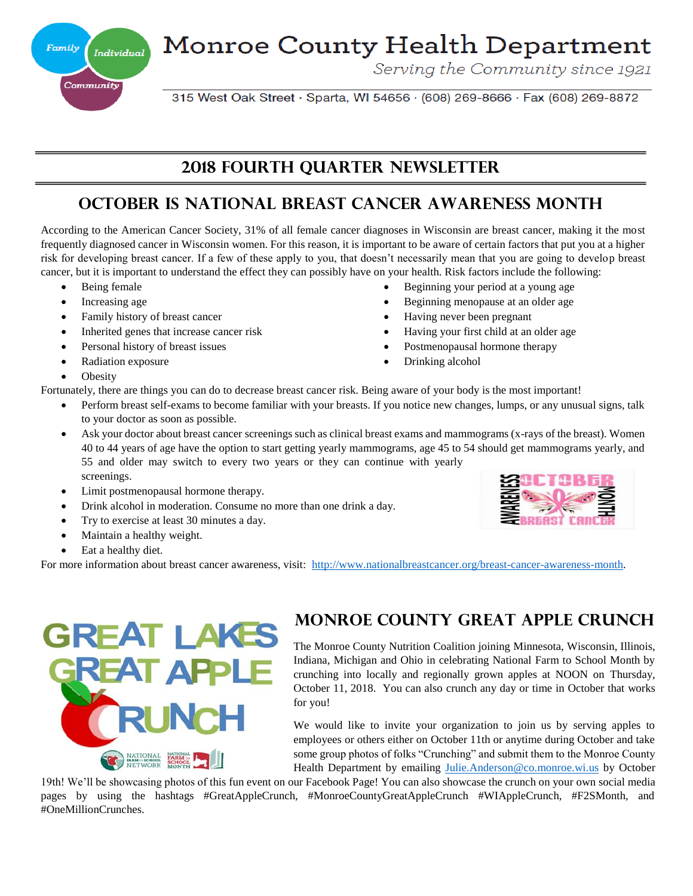**Monroe County Health Department** 

Serving the Community since 1921

 Beginning your period at a young age Beginning menopause at an older age

 Having your first child at an older age Postmenopausal hormone therapy

Having never been pregnant

Drinking alcohol

315 West Oak Street · Sparta, WI 54656 · (608) 269-8666 · Fax (608) 269-8872

## **2018 fourth QuarteR Newsletter**

# **October is National Breast Cancer Awareness Month**

According to the American Cancer Society, 31% of all female cancer diagnoses in Wisconsin are breast cancer, making it the most frequently diagnosed cancer in Wisconsin women. For this reason, it is important to be aware of certain factors that put you at a higher risk for developing breast cancer. If a few of these apply to you, that doesn't necessarily mean that you are going to develop breast cancer, but it is important to understand the effect they can possibly have on your health. Risk factors include the following:

- Being female
- Increasing age
- Family history of breast cancer
- Inherited genes that increase cancer risk
- Personal history of breast issues
- Radiation exposure
- **Obesity**
- Fortunately, there are things you can do to decrease breast cancer risk. Being aware of your body is the most important!
	- Perform breast self-exams to become familiar with your breasts. If you notice new changes, lumps, or any unusual signs, talk to your doctor as soon as possible.
	- Ask your doctor about breast cancer screenings such as clinical breast exams and mammograms (x-rays of the breast). Women 40 to 44 years of age have the option to start getting yearly mammograms, age 45 to 54 should get mammograms yearly, and 55 and older may switch to every two years or they can continue with yearly screenings.
	- Limit postmenopausal hormone therapy.
	- Drink alcohol in moderation. Consume no more than one drink a day.
	- Try to exercise at least 30 minutes a day.
	- Maintain a healthy weight.
	- Eat a healthy diet.

For more information about breast cancer awareness, visit: http://www.nationalbreastcancer.org/breast-cancer-awareness-month.



## **Monroe County Great Apple Crunch**

The Monroe County Nutrition Coalition joining Minnesota, Wisconsin, Illinois, Indiana, Michigan and Ohio in celebrating National Farm to School Month by crunching into locally and regionally grown apples at NOON on Thursday, October 11, 2018. You can also crunch any day or time in October that works for you!

We would like to invite your organization to join us by serving apples to employees or others either on October 11th or anytime during October and take some group photos of folks "Crunching" and submit them to the Monroe County Health Department by emailing Julie.Anderson@co.monroe.wi.us by October

19th! We'll be showcasing photos of this fun event on our Facebook Page! You can also showcase the crunch on your own social media pages by using the hashtags #GreatAppleCrunch, #MonroeCountyGreatAppleCrunch #WIAppleCrunch, #F2SMonth, and #OneMillionCrunches.



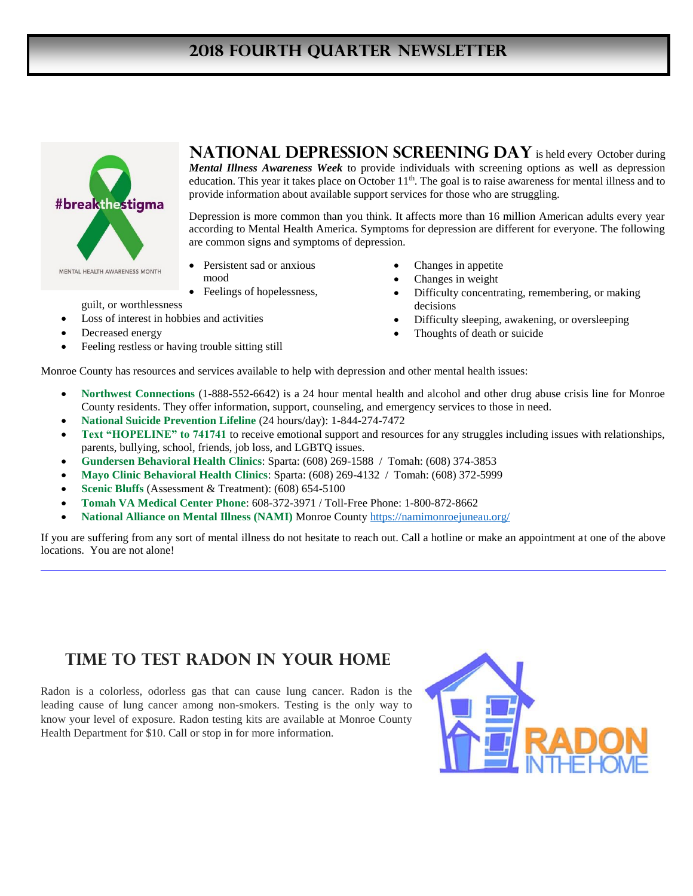## **2018 fourth Quarter Newsletter**



**NATIONAL DEPRESSION SCREENING DAY** is held every October during *Mental Illness Awareness Week* to provide individuals with screening options as well as depression education. This year it takes place on October 11<sup>th</sup>. The goal is to raise awareness for mental illness and to provide information about available support services for those who are struggling.

Depression is more common than you think. It affects more than 16 million American adults every year according to Mental Health America. Symptoms for depression are different for everyone. The following are common signs and symptoms of depression.

decisions

 Changes in appetite Changes in weight

Thoughts of death or suicide

Difficulty concentrating, remembering, or making

Difficulty sleeping, awakening, or oversleeping

- Persistent sad or anxious mood
- Feelings of hopelessness,
- guilt, or worthlessness
- Loss of interest in hobbies and activities
- Decreased energy
- Feeling restless or having trouble sitting still

Monroe County has resources and services available to help with depression and other mental health issues:

- **Northwest Connections** (1-888-552-6642) is a 24 hour mental health and alcohol and other drug abuse crisis line for Monroe County residents. They offer information, support, counseling, and emergency services to those in need.
- **National Suicide Prevention Lifeline** (24 hours/day): 1-844-274-7472
- **Text "HOPELINE" to 741741** to receive emotional support and resources for any struggles including issues with relationships, parents, bullying, school, friends, job loss, and LGBTQ issues.
- **Gundersen Behavioral Health Clinics**: Sparta: (608) 269-1588 / Tomah: (608) 374-3853
- **Mayo Clinic Behavioral Health Clinics**: Sparta: (608) 269-4132 / Tomah: (608) 372-5999
- **Scenic Bluffs** (Assessment & Treatment): (608) 654-5100
- **Tomah VA Medical Center Phone**: 608-372-3971 / Toll-Free Phone: 1-800-872-8662
- **National Alliance on Mental Illness (NAMI)** Monroe County https://namimonroejuneau.org/

If you are suffering from any sort of mental illness do not hesitate to reach out. Call a hotline or make an appointment at one of the above locations. You are not alone!

## **TIME TO TEST RADON IN YOUR HOME**

Radon is a colorless, odorless gas that can cause lung cancer. Radon is the leading cause of lung cancer among non-smokers. Testing is the only way to know your level of exposure. Radon testing kits are available at Monroe County Health Department for \$10. Call or stop in for more information.

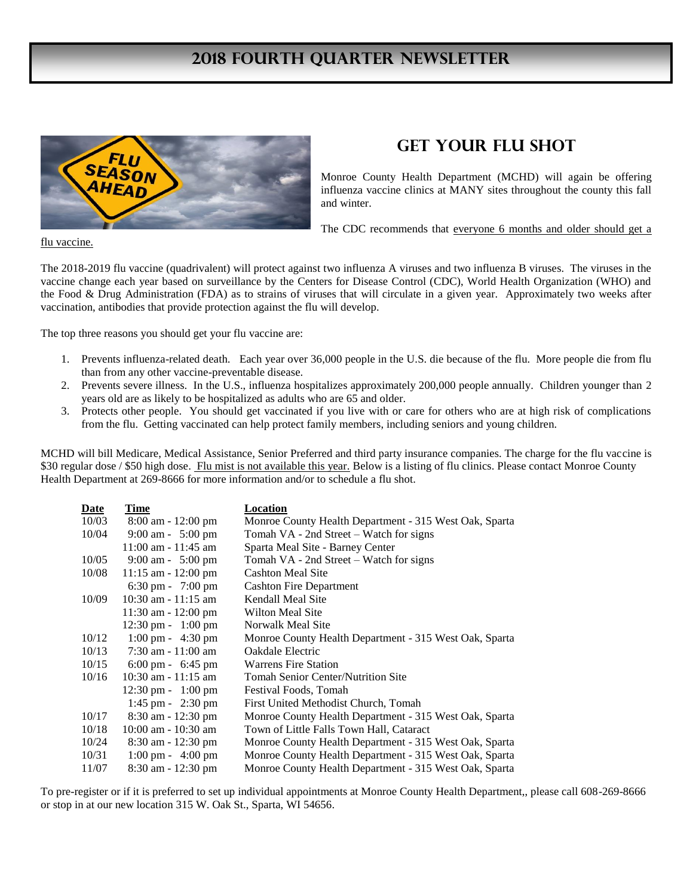#### **2018 fourth Quarter Newsletter**



#### **GET YOUR FLU SHOT**

Monroe County Health Department (MCHD) will again be offering influenza vaccine clinics at MANY sites throughout the county this fall and winter.

The CDC recommends that everyone 6 months and older should get a

flu vaccine.

The 2018-2019 flu vaccine (quadrivalent) will protect against two influenza A viruses and two influenza B viruses. The viruses in the vaccine change each year based on surveillance by the Centers for Disease Control (CDC), World Health Organization (WHO) and the Food & Drug Administration (FDA) as to strains of viruses that will circulate in a given year. Approximately two weeks after vaccination, antibodies that provide protection against the flu will develop.

The top three reasons you should get your flu vaccine are:

- 1. Prevents influenza-related death. Each year over 36,000 people in the U.S. die because of the flu. More people die from flu than from any other vaccine-preventable disease.
- 2. Prevents severe illness. In the U.S., influenza hospitalizes approximately 200,000 people annually. Children younger than 2 years old are as likely to be hospitalized as adults who are 65 and older.
- 3. Protects other people. You should get vaccinated if you live with or care for others who are at high risk of complications from the flu. Getting vaccinated can help protect family members, including seniors and young children.

MCHD will bill Medicare, Medical Assistance, Senior Preferred and third party insurance companies. The charge for the flu vaccine is \$30 regular dose / \$50 high dose. Flu mist is not available this year. Below is a listing of flu clinics. Please contact Monroe County Health Department at 269-8666 for more information and/or to schedule a flu shot.

| Date  | Time                                 | Location                                               |
|-------|--------------------------------------|--------------------------------------------------------|
| 10/03 | $8:00$ am - 12:00 pm                 | Monroe County Health Department - 315 West Oak, Sparta |
| 10/04 | 9:00 am - $5:00 \text{ pm}$          | Tomah VA - 2nd Street – Watch for signs                |
|       | $11:00$ am - $11:45$ am              | Sparta Meal Site - Barney Center                       |
| 10/05 | 9:00 am - $5:00 \text{ pm}$          | Tomah VA - 2nd Street – Watch for signs                |
| 10/08 | $11:15$ am - $12:00$ pm              | <b>Cashton Meal Site</b>                               |
|       | $6:30 \text{ pm} - 7:00 \text{ pm}$  | <b>Cashton Fire Department</b>                         |
| 10/09 | $10:30$ am $-11:15$ am               | Kendall Meal Site                                      |
|       | $11:30$ am $-12:00$ pm               | Wilton Meal Site                                       |
|       | $12:30 \text{ pm} - 1:00 \text{ pm}$ | Norwalk Meal Site                                      |
| 10/12 | $1:00 \text{ pm} - 4:30 \text{ pm}$  | Monroe County Health Department - 315 West Oak, Sparta |
| 10/13 | $7:30$ am $-11:00$ am                | Oakdale Electric                                       |
| 10/15 | $6:00 \text{ pm} - 6:45 \text{ pm}$  | <b>Warrens Fire Station</b>                            |
| 10/16 | $10:30$ am $-11:15$ am               | <b>Tomah Senior Center/Nutrition Site</b>              |
|       | $12:30 \text{ pm} - 1:00 \text{ pm}$ | Festival Foods, Tomah                                  |
|       | $1:45$ pm - $2:30$ pm                | First United Methodist Church, Tomah                   |
| 10/17 | $8:30$ am $-12:30$ pm                | Monroe County Health Department - 315 West Oak, Sparta |
| 10/18 | $10:00$ am - $10:30$ am              | Town of Little Falls Town Hall, Cataract               |
| 10/24 | $8:30$ am - 12:30 pm                 | Monroe County Health Department - 315 West Oak, Sparta |
| 10/31 | $1:00 \text{ pm} - 4:00 \text{ pm}$  | Monroe County Health Department - 315 West Oak, Sparta |
| 11/07 | $8:30$ am - 12:30 pm                 | Monroe County Health Department - 315 West Oak, Sparta |

To pre-register or if it is preferred to set up individual appointments at Monroe County Health Department,, please call 608-269-8666 or stop in at our new location 315 W. Oak St., Sparta, WI 54656.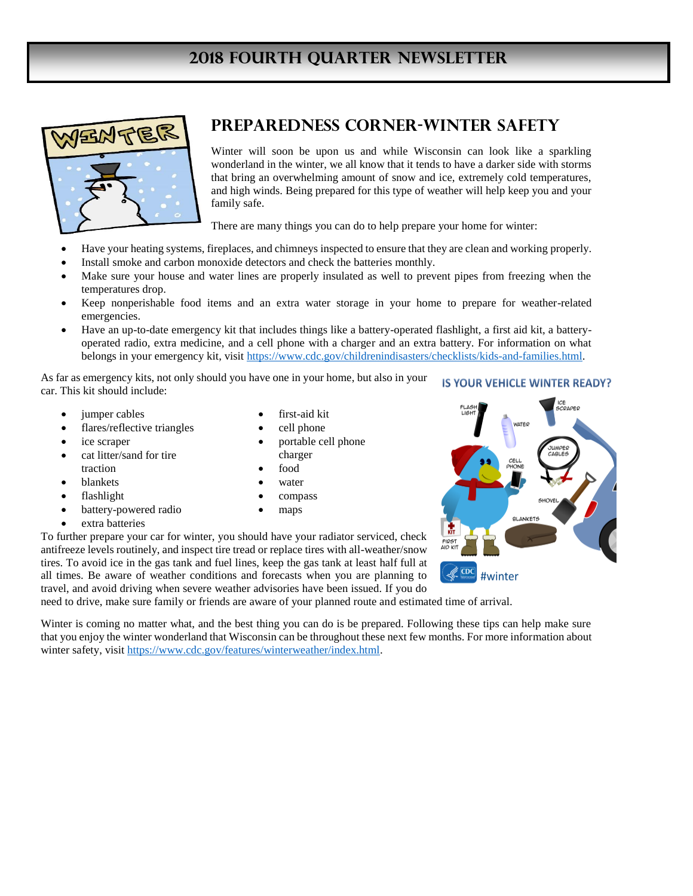## **2018 fourth Quarter Newsletter**



#### **Preparedness Corner-Winter Safety**

Winter will soon be upon us and while Wisconsin can look like a sparkling wonderland in the winter, we all know that it tends to have a darker side with storms that bring an overwhelming amount of snow and ice, extremely cold temperatures, and high winds. Being prepared for this type of weather will help keep you and your family safe.

There are many things you can do to help prepare your home for winter:

- Have your heating systems, fireplaces, and chimneys inspected to ensure that they are clean and working properly.
- Install smoke and carbon monoxide detectors and check the batteries monthly.
- Make sure your house and water lines are properly insulated as well to prevent pipes from freezing when the temperatures drop.
- Keep nonperishable food items and an extra water storage in your home to prepare for weather-related emergencies.
- Have an up-to-date emergency kit that includes things like a battery-operated flashlight, a first aid kit, a batteryoperated radio, extra medicine, and a cell phone with a charger and an extra battery. For information on what belongs in your emergency kit, visit https://www.cdc.gov/childrenindisasters/checklists/kids-and-families.html.

As far as emergency kits, not only should you have one in your home, but also in your **IS YOUR VEHICLE WINTER READY?** car. This kit should include:

- jumper cables
- flares/reflective triangles
- ice scraper
- cat litter/sand for tire traction
- blankets
- flashlight
- battery-powered radio
- extra batteries
- first-aid kit
- cell phone
- portable cell phone charger
- food
- water
- compass
- maps

To further prepare your car for winter, you should have your radiator serviced, check antifreeze levels routinely, and inspect tire tread or replace tires with all-weather/snow tires. To avoid ice in the gas tank and fuel lines, keep the gas tank at least half full at all times. Be aware of weather conditions and forecasts when you are planning to travel, and avoid driving when severe weather advisories have been issued. If you do

need to drive, make sure family or friends are aware of your planned route and estimated time of arrival.

Winter is coming no matter what, and the best thing you can do is be prepared. Following these tips can help make sure that you enjoy the winter wonderland that Wisconsin can be throughout these next few months. For more information about winter safety, visit https://www.cdc.gov/features/winterweather/index.html.